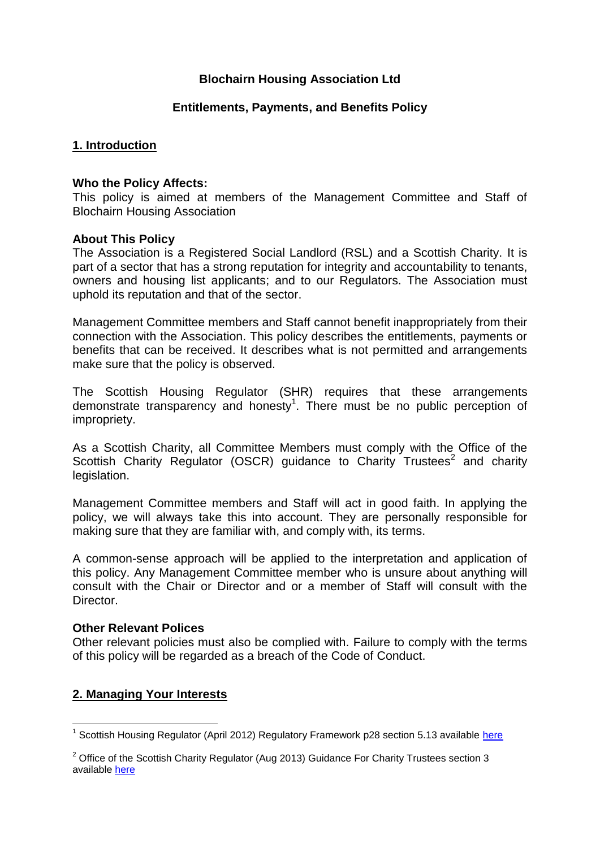# **Blochairn Housing Association Ltd**

#### **Entitlements, Payments, and Benefits Policy**

## **1. Introduction**

#### **Who the Policy Affects:**

This policy is aimed at members of the Management Committee and Staff of Blochairn Housing Association

#### **About This Policy**

The Association is a Registered Social Landlord (RSL) and a Scottish Charity. It is part of a sector that has a strong reputation for integrity and accountability to tenants, owners and housing list applicants; and to our Regulators. The Association must uphold its reputation and that of the sector.

Management Committee members and Staff cannot benefit inappropriately from their connection with the Association. This policy describes the entitlements, payments or benefits that can be received. It describes what is not permitted and arrangements make sure that the policy is observed.

The Scottish Housing Regulator (SHR) requires that these arrangements demonstrate transparency and honesty<sup>1</sup>. There must be no public perception of impropriety.

As a Scottish Charity, all Committee Members must comply with the Office of the Scottish Charity Regulator (OSCR) guidance to Charity Trustees<sup>2</sup> and charity legislation.

Management Committee members and Staff will act in good faith. In applying the policy, we will always take this into account. They are personally responsible for making sure that they are familiar with, and comply with, its terms.

A common-sense approach will be applied to the interpretation and application of this policy. Any Management Committee member who is unsure about anything will consult with the Chair or Director and or a member of Staff will consult with the Director.

#### **Other Relevant Polices**

Other relevant policies must also be complied with. Failure to comply with the terms of this policy will be regarded as a breach of the Code of Conduct.

## **2. Managing Your Interests**

<sup>1</sup> <sup>1</sup> Scottish Housing Regulator (April 2012) Regulatory Framework p28 section 5.13 available [here](http://www.scottishhousingregulator.gov.uk/sites/default/files/publications/Our%20Regulatory%20Framework.pdf)

 $2$  Office of the Scottish Charity Regulator (Aug 2013) Guidance For Charity Trustees section 3 available [here](http://www.oscr.org.uk/media/1571/Guidance%20for%20Charity%20Trustees%20updated%20Sept%202010.pdf)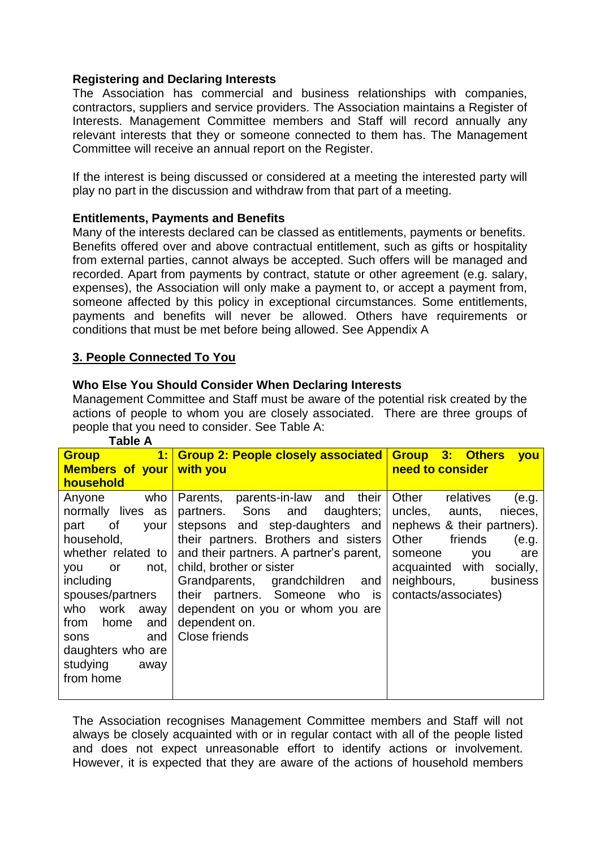# **Registering and Declaring Interests**

The Association has commercial and business relationships with companies, contractors, suppliers and service providers. The Association maintains a Register of Interests. Management Committee members and Staff will record annually any relevant interests that they or someone connected to them has. The Management Committee will receive an annual report on the Register.

If the interest is being discussed or considered at a meeting the interested party will play no part in the discussion and withdraw from that part of a meeting.

## **Entitlements, Payments and Benefits**

Many of the interests declared can be classed as entitlements, payments or benefits. Benefits offered over and above contractual entitlement, such as gifts or hospitality from external parties, cannot always be accepted. Such offers will be managed and recorded. Apart from payments by contract, statute or other agreement (e.g. salary, expenses), the Association will only make a payment to, or accept a payment from, someone affected by this policy in exceptional circumstances. Some entitlements, payments and benefits will never be allowed. Others have requirements or conditions that must be met before being allowed. See Appendix A

# **3. People Connected To You**

## **Who Else You Should Consider When Declaring Interests**

Management Committee and Staff must be aware of the potential risk created by the actions of people to whom you are closely associated. There are three groups of people that you need to consider. See Table A:

| <b>Group</b>             | 1: Group 2: People closely associated Group 3: Others              | <b>VOU</b>                   |
|--------------------------|--------------------------------------------------------------------|------------------------------|
| Members of your with you |                                                                    | need to consider             |
| household                |                                                                    |                              |
| who<br>Anyone            | Parents, parents-in-law and<br>their                               | Other<br>relatives<br>(e.g.  |
| normally lives as        | partners. Sons and daughters;                                      | uncles,<br>aunts,<br>nieces, |
| part<br>your<br>0f       | stepsons and step-daughters and                                    | nephews & their partners).   |
| household,               | their partners. Brothers and sisters                               | Other<br>friends<br>(e.g.    |
|                          | whether related to $\vert$ and their partners. A partner's parent, | someone<br>are<br>you        |
| not,<br>you<br>or        | child, brother or sister                                           | acquainted with socially,    |
| including                | Grandparents, grandchildren and                                    | neighbours,<br>business      |
| spouses/partners         | their partners. Someone who is                                     | contacts/associates)         |
| who<br>work<br>away      | dependent on you or whom you are                                   |                              |
| from<br>home<br>and      | dependent on.                                                      |                              |
| and<br>sons              | Close friends                                                      |                              |
| daughters who are        |                                                                    |                              |
| studying<br>away         |                                                                    |                              |
| from home                |                                                                    |                              |
|                          |                                                                    |                              |

**Table A**

The Association recognises Management Committee members and Staff will not always be closely acquainted with or in regular contact with all of the people listed and does not expect unreasonable effort to identify actions or involvement. However, it is expected that they are aware of the actions of household members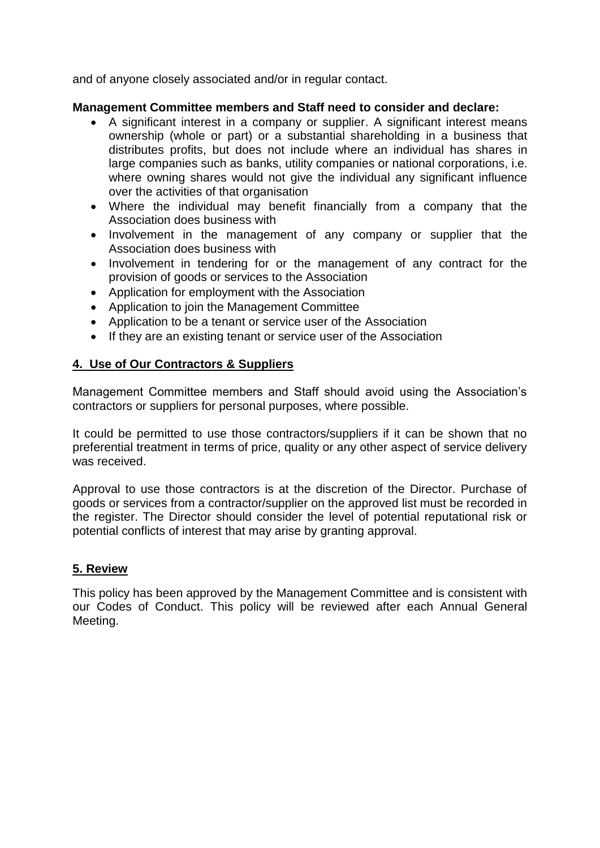and of anyone closely associated and/or in regular contact.

#### **Management Committee members and Staff need to consider and declare:**

- A significant interest in a company or supplier. A significant interest means ownership (whole or part) or a substantial shareholding in a business that distributes profits, but does not include where an individual has shares in large companies such as banks, utility companies or national corporations, i.e. where owning shares would not give the individual any significant influence over the activities of that organisation
- Where the individual may benefit financially from a company that the Association does business with
- Involvement in the management of any company or supplier that the Association does business with
- Involvement in tendering for or the management of any contract for the provision of goods or services to the Association
- Application for employment with the Association
- Application to join the Management Committee
- Application to be a tenant or service user of the Association
- If they are an existing tenant or service user of the Association

# **4. Use of Our Contractors & Suppliers**

Management Committee members and Staff should avoid using the Association's contractors or suppliers for personal purposes, where possible.

It could be permitted to use those contractors/suppliers if it can be shown that no preferential treatment in terms of price, quality or any other aspect of service delivery was received.

Approval to use those contractors is at the discretion of the Director. Purchase of goods or services from a contractor/supplier on the approved list must be recorded in the register. The Director should consider the level of potential reputational risk or potential conflicts of interest that may arise by granting approval.

## **5. Review**

This policy has been approved by the Management Committee and is consistent with our Codes of Conduct. This policy will be reviewed after each Annual General Meeting.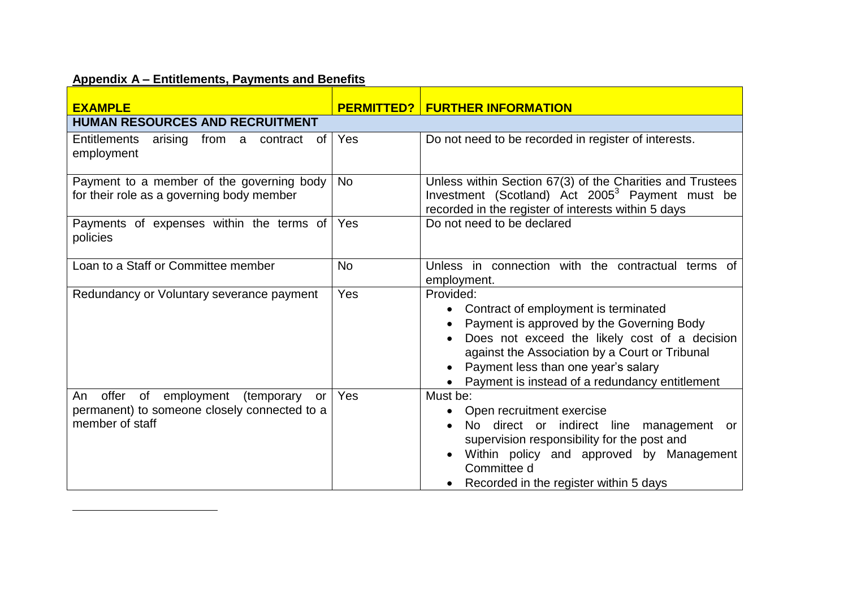# **Appendix A – Entitlements, Payments and Benefits**

 $\overline{a}$ 

| <b>EXAMPLE</b>                                                                                                |           |                                                                                                                                                                                                                                                                                              |  |  |
|---------------------------------------------------------------------------------------------------------------|-----------|----------------------------------------------------------------------------------------------------------------------------------------------------------------------------------------------------------------------------------------------------------------------------------------------|--|--|
| <b>FURTHER INFORMATION</b><br><b>PERMITTED?</b><br><b>HUMAN RESOURCES AND RECRUITMENT</b>                     |           |                                                                                                                                                                                                                                                                                              |  |  |
| arising from a contract of<br><b>Entitlements</b><br>employment                                               | Yes       | Do not need to be recorded in register of interests.                                                                                                                                                                                                                                         |  |  |
| Payment to a member of the governing body<br>for their role as a governing body member                        | <b>No</b> | Unless within Section 67(3) of the Charities and Trustees<br>Investment (Scotland) Act 2005 <sup>3</sup> Payment must be<br>recorded in the register of interests within 5 days                                                                                                              |  |  |
| Payments of expenses within the terms of<br>policies                                                          | Yes       | Do not need to be declared                                                                                                                                                                                                                                                                   |  |  |
| Loan to a Staff or Committee member                                                                           | <b>No</b> | Unless in connection with the contractual terms of<br>employment.                                                                                                                                                                                                                            |  |  |
| Redundancy or Voluntary severance payment                                                                     | Yes       | Provided:<br>Contract of employment is terminated<br>Payment is approved by the Governing Body<br>Does not exceed the likely cost of a decision<br>against the Association by a Court or Tribunal<br>Payment less than one year's salary<br>• Payment is instead of a redundancy entitlement |  |  |
| offer of employment (temporary<br>An<br>or<br>permanent) to someone closely connected to a<br>member of staff | Yes       | Must be:<br>Open recruitment exercise<br>No direct or indirect line management<br>or<br>supervision responsibility for the post and<br>Within policy and approved by Management<br>Committee d<br>• Recorded in the register within 5 days                                                   |  |  |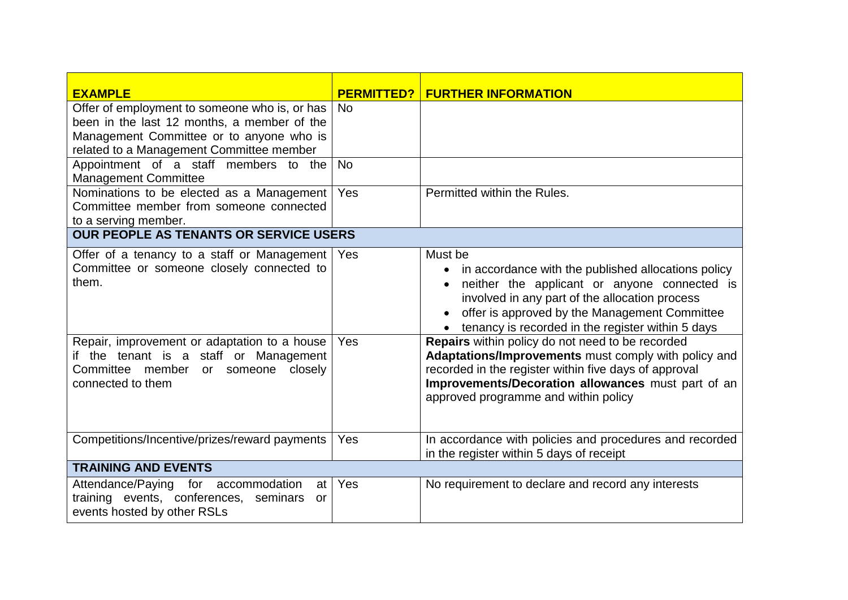| <b>EXAMPLE</b>                                                                                                                                                                                                                                             | <b>PERMITTED?</b> | <b>FURTHER INFORMATION</b>                                                                                                                                                                                                                                                                                                                                                                                                                                                                                                                |  |  |
|------------------------------------------------------------------------------------------------------------------------------------------------------------------------------------------------------------------------------------------------------------|-------------------|-------------------------------------------------------------------------------------------------------------------------------------------------------------------------------------------------------------------------------------------------------------------------------------------------------------------------------------------------------------------------------------------------------------------------------------------------------------------------------------------------------------------------------------------|--|--|
| Offer of employment to someone who is, or has<br>been in the last 12 months, a member of the<br>Management Committee or to anyone who is<br>related to a Management Committee member                                                                       | <b>No</b>         |                                                                                                                                                                                                                                                                                                                                                                                                                                                                                                                                           |  |  |
| Appointment of a staff members to the<br><b>Management Committee</b>                                                                                                                                                                                       | <b>No</b>         |                                                                                                                                                                                                                                                                                                                                                                                                                                                                                                                                           |  |  |
| Nominations to be elected as a Management<br>Committee member from someone connected<br>to a serving member.                                                                                                                                               | Yes               | Permitted within the Rules.                                                                                                                                                                                                                                                                                                                                                                                                                                                                                                               |  |  |
| <b>OUR PEOPLE AS TENANTS OR SERVICE USERS</b>                                                                                                                                                                                                              |                   |                                                                                                                                                                                                                                                                                                                                                                                                                                                                                                                                           |  |  |
| Offer of a tenancy to a staff or Management<br>Committee or someone closely connected to<br>them.<br>Repair, improvement or adaptation to a house<br>if the tenant is a staff or Management<br>Committee member<br>or someone closely<br>connected to them | Yes<br>Yes        | Must be<br>in accordance with the published allocations policy<br>neither the applicant or anyone connected is<br>involved in any part of the allocation process<br>offer is approved by the Management Committee<br>tenancy is recorded in the register within 5 days<br>Repairs within policy do not need to be recorded<br>Adaptations/Improvements must comply with policy and<br>recorded in the register within five days of approval<br>Improvements/Decoration allowances must part of an<br>approved programme and within policy |  |  |
| Competitions/Incentive/prizes/reward payments                                                                                                                                                                                                              | Yes               | In accordance with policies and procedures and recorded                                                                                                                                                                                                                                                                                                                                                                                                                                                                                   |  |  |
|                                                                                                                                                                                                                                                            |                   | in the register within 5 days of receipt                                                                                                                                                                                                                                                                                                                                                                                                                                                                                                  |  |  |
| <b>TRAINING AND EVENTS</b>                                                                                                                                                                                                                                 |                   |                                                                                                                                                                                                                                                                                                                                                                                                                                                                                                                                           |  |  |
| Attendance/Paying<br>for<br>accommodation<br>at<br>training events, conferences, seminars<br>or<br>events hosted by other RSLs                                                                                                                             | Yes               | No requirement to declare and record any interests                                                                                                                                                                                                                                                                                                                                                                                                                                                                                        |  |  |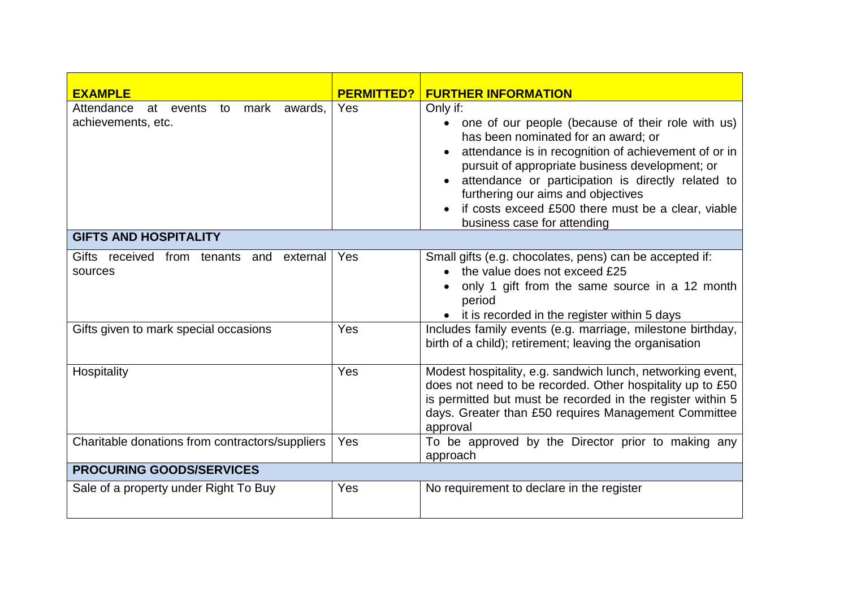| <b>EXAMPLE</b>                                                | <b>PERMITTED?</b> | <b>FURTHER INFORMATION</b>                                                                                                                                                                                                                                                                                                                                                                       |  |
|---------------------------------------------------------------|-------------------|--------------------------------------------------------------------------------------------------------------------------------------------------------------------------------------------------------------------------------------------------------------------------------------------------------------------------------------------------------------------------------------------------|--|
| Attendance<br>at events to mark awards,<br>achievements, etc. | Yes               | Only if:<br>one of our people (because of their role with us)<br>has been nominated for an award; or<br>attendance is in recognition of achievement of or in<br>pursuit of appropriate business development; or<br>attendance or participation is directly related to<br>furthering our aims and objectives<br>if costs exceed £500 there must be a clear, viable<br>business case for attending |  |
| <b>GIFTS AND HOSPITALITY</b>                                  |                   |                                                                                                                                                                                                                                                                                                                                                                                                  |  |
| Gifts received from tenants and external<br>sources           | Yes               | Small gifts (e.g. chocolates, pens) can be accepted if:<br>the value does not exceed £25<br>only 1 gift from the same source in a 12 month<br>period<br>• it is recorded in the register within 5 days                                                                                                                                                                                           |  |
| Gifts given to mark special occasions                         | Yes               | Includes family events (e.g. marriage, milestone birthday,<br>birth of a child); retirement; leaving the organisation                                                                                                                                                                                                                                                                            |  |
| Hospitality                                                   | Yes               | Modest hospitality, e.g. sandwich lunch, networking event,<br>does not need to be recorded. Other hospitality up to £50<br>is permitted but must be recorded in the register within 5<br>days. Greater than £50 requires Management Committee<br>approval                                                                                                                                        |  |
| Charitable donations from contractors/suppliers               | Yes               | To be approved by the Director prior to making any<br>approach                                                                                                                                                                                                                                                                                                                                   |  |
| <b>PROCURING GOODS/SERVICES</b>                               |                   |                                                                                                                                                                                                                                                                                                                                                                                                  |  |
| Sale of a property under Right To Buy                         | Yes               | No requirement to declare in the register                                                                                                                                                                                                                                                                                                                                                        |  |